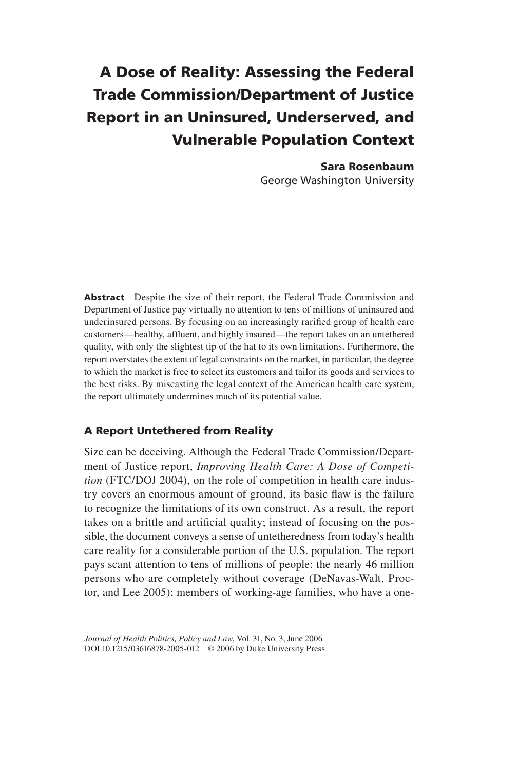# A Dose of Reality: Assessing the Federal Trade Commission/Department of Justice Report in an Uninsured, Underserved, and Vulnerable Population Context

Sara Rosenbaum

George Washington University

**Abstract** Despite the size of their report, the Federal Trade Commission and Department of Justice pay virtually no attention to tens of millions of uninsured and underinsured persons. By focusing on an increasingly rarified group of health care customers—healthy, affluent, and highly insured—the report takes on an untethered quality, with only the slightest tip of the hat to its own limitations. Furthermore, the report overstates the extent of legal constraints on the market, in particular, the degree to which the market is free to select its customers and tailor its goods and services to the best risks. By miscasting the legal context of the American health care system, the report ultimately undermines much of its potential value.

## A Report Untethered from Reality

Size can be deceiving. Although the Federal Trade Commission/Department of Justice report, *Improving Health Care: A Dose of Competition* (FTC/DOJ 2004), on the role of competition in health care industry covers an enormous amount of ground, its basic flaw is the failure to recognize the limitations of its own construct. As a result, the report takes on a brittle and artificial quality; instead of focusing on the possible, the document conveys a sense of untetheredness from today's health care reality for a considerable portion of the U.S. population. The report pays scant attention to tens of millions of people: the nearly 46 million persons who are completely without coverage (DeNavas-Walt, Proctor, and Lee 2005); members of working-age families, who have a one-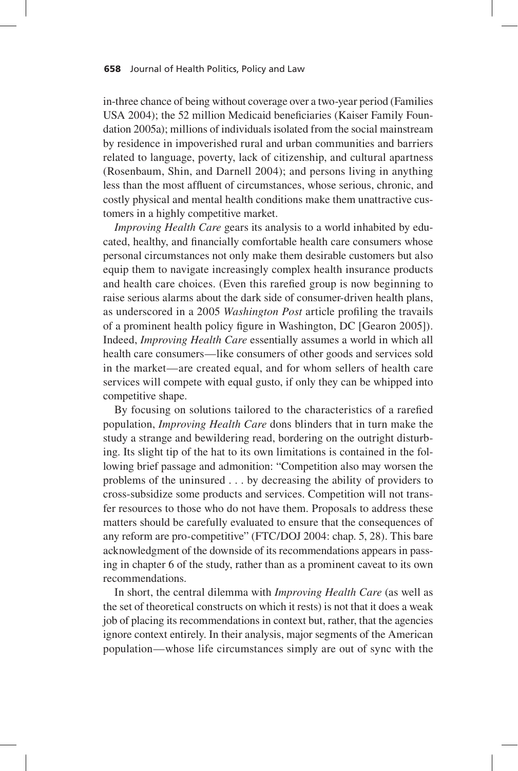in-three chance of being without coverage over a two-year period (Families USA 2004); the 52 million Medicaid beneficiaries (Kaiser Family Foundation 2005a); millions of individuals isolated from the social mainstream by residence in impoverished rural and urban communities and barriers related to language, poverty, lack of citizenship, and cultural apartness (Rosenbaum, Shin, and Darnell 2004); and persons living in anything less than the most affluent of circumstances, whose serious, chronic, and costly physical and mental health conditions make them unattractive customers in a highly competitive market.

*Improving Health Care* gears its analysis to a world inhabited by educated, healthy, and financially comfortable health care consumers whose personal circumstances not only make them desirable customers but also equip them to navigate increasingly complex health insurance products and health care choices. (Even this rarefied group is now beginning to raise serious alarms about the dark side of consumer-driven health plans, as underscored in a 2005 *Washington Post* article profiling the travails of a prominent health policy figure in Washington, DC [Gearon 2005]). Indeed, *Improving Health Care* essentially assumes a world in which all health care consumers—like consumers of other goods and services sold in the market—are created equal, and for whom sellers of health care services will compete with equal gusto, if only they can be whipped into competitive shape.

By focusing on solutions tailored to the characteristics of a rarefied population, *Improving Health Care* dons blinders that in turn make the study a strange and bewildering read, bordering on the outright disturbing. Its slight tip of the hat to its own limitations is contained in the following brief passage and admonition: "Competition also may worsen the problems of the uninsured . . . by decreasing the ability of providers to cross-subsidize some products and services. Competition will not transfer resources to those who do not have them. Proposals to address these matters should be carefully evaluated to ensure that the consequences of any reform are pro-competitive" (FTC/DOJ 2004: chap. 5, 28). This bare acknowledgment of the downside of its recommendations appears in passing in chapter 6 of the study, rather than as a prominent caveat to its own recommendations.

In short, the central dilemma with *Improving Health Care* (as well as the set of theoretical constructs on which it rests) is not that it does a weak job of placing its recommendations in context but, rather, that the agencies ignore context entirely. In their analysis, major segments of the American population—whose life circumstances simply are out of sync with the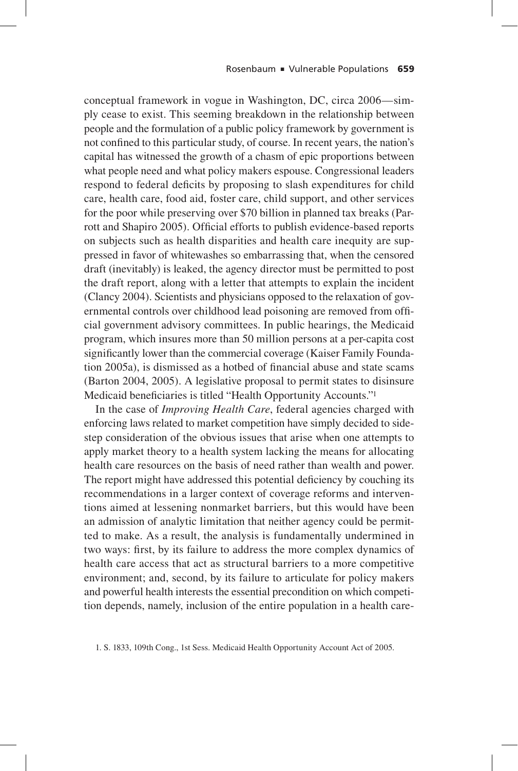conceptual framework in vogue in Washington, DC, circa 2006—simply cease to exist. This seeming breakdown in the relationship between people and the formulation of a public policy framework by government is not confined to this particular study, of course. In recent years, the nation's capital has witnessed the growth of a chasm of epic proportions between what people need and what policy makers espouse. Congressional leaders respond to federal deficits by proposing to slash expenditures for child care, health care, food aid, foster care, child support, and other services for the poor while preserving over \$70 billion in planned tax breaks (Parrott and Shapiro 2005). Official efforts to publish evidence-based reports on subjects such as health disparities and health care inequity are suppressed in favor of whitewashes so embarrassing that, when the censored draft (inevitably) is leaked, the agency director must be permitted to post the draft report, along with a letter that attempts to explain the incident (Clancy 2004). Scientists and physicians opposed to the relaxation of governmental controls over childhood lead poisoning are removed from official government advisory committees. In public hearings, the Medicaid program, which insures more than 50 million persons at a per-capita cost significantly lower than the commercial coverage (Kaiser Family Foundation 2005a), is dismissed as a hotbed of financial abuse and state scams (Barton 2004, 2005). A legislative proposal to permit states to disinsure Medicaid beneficiaries is titled "Health Opportunity Accounts."1

In the case of *Improving Health Care*, federal agencies charged with enforcing laws related to market competition have simply decided to sidestep consideration of the obvious issues that arise when one attempts to apply market theory to a health system lacking the means for allocating health care resources on the basis of need rather than wealth and power. The report might have addressed this potential deficiency by couching its recommendations in a larger context of coverage reforms and interventions aimed at lessening nonmarket barriers, but this would have been an admission of analytic limitation that neither agency could be permitted to make. As a result, the analysis is fundamentally undermined in two ways: first, by its failure to address the more complex dynamics of health care access that act as structural barriers to a more competitive environment; and, second, by its failure to articulate for policy makers and powerful health interests the essential precondition on which competition depends, namely, inclusion of the entire population in a health care-

1. S. 1833, 109th Cong., 1st Sess. Medicaid Health Opportunity Account Act of 2005.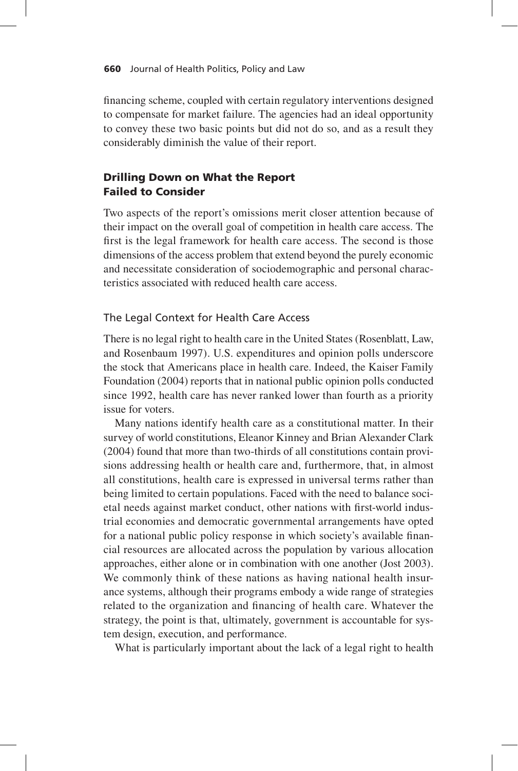financing scheme, coupled with certain regulatory interventions designed to compensate for market failure. The agencies had an ideal opportunity to convey these two basic points but did not do so, and as a result they considerably diminish the value of their report.

## Drilling Down on What the Report Failed to Consider

Two aspects of the report's omissions merit closer attention because of their impact on the overall goal of competition in health care access. The first is the legal framework for health care access. The second is those dimensions of the access problem that extend beyond the purely economic and necessitate consideration of sociodemographic and personal characteristics associated with reduced health care access.

### The Legal Context for Health Care Access

There is no legal right to health care in the United States (Rosenblatt, Law, and Rosenbaum 1997). U.S. expenditures and opinion polls underscore the stock that Americans place in health care. Indeed, the Kaiser Family Foundation (2004) reports that in national public opinion polls conducted since 1992, health care has never ranked lower than fourth as a priority issue for voters.

Many nations identify health care as a constitutional matter. In their survey of world constitutions, Eleanor Kinney and Brian Alexander Clark (2004) found that more than two-thirds of all constitutions contain provisions addressing health or health care and, furthermore, that, in almost all constitutions, health care is expressed in universal terms rather than being limited to certain populations. Faced with the need to balance societal needs against market conduct, other nations with first-world industrial economies and democratic governmental arrangements have opted for a national public policy response in which society's available financial resources are allocated across the population by various allocation approaches, either alone or in combination with one another (Jost 2003). We commonly think of these nations as having national health insurance systems, although their programs embody a wide range of strategies related to the organization and financing of health care. Whatever the strategy, the point is that, ultimately, government is accountable for system design, execution, and performance.

What is particularly important about the lack of a legal right to health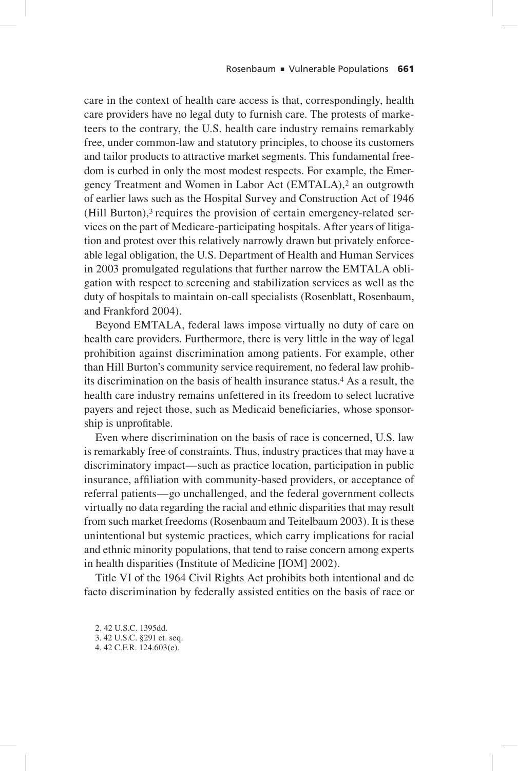care in the context of health care access is that, correspondingly, health care providers have no legal duty to furnish care. The protests of marketeers to the contrary, the U.S. health care industry remains remarkably free, under common-law and statutory principles, to choose its customers and tailor products to attractive market segments. This fundamental freedom is curbed in only the most modest respects. For example, the Emergency Treatment and Women in Labor Act (EMTALA),2 an outgrowth of earlier laws such as the Hospital Survey and Construction Act of 1946  $(Hill Burton),<sup>3</sup> requires the provision of certain emergency-related ser$ vices on the part of Medicare-participating hospitals. After years of litigation and protest over this relatively narrowly drawn but privately enforceable legal obligation, the U.S. Department of Health and Human Services in 2003 promulgated regulations that further narrow the EMTALA obligation with respect to screening and stabilization services as well as the duty of hospitals to maintain on-call specialists (Rosenblatt, Rosenbaum, and Frankford 2004).

Beyond EMTALA, federal laws impose virtually no duty of care on health care providers. Furthermore, there is very little in the way of legal prohibition against discrimination among patients. For example, other than Hill Burton's community service requirement, no federal law prohibits discrimination on the basis of health insurance status.4 As a result, the health care industry remains unfettered in its freedom to select lucrative payers and reject those, such as Medicaid beneficiaries, whose sponsorship is unprofitable.

Even where discrimination on the basis of race is concerned, U.S. law is remarkably free of constraints. Thus, industry practices that may have a discriminatory impact—such as practice location, participation in public insurance, affiliation with community-based providers, or acceptance of referral patients—go unchallenged, and the federal government collects virtually no data regarding the racial and ethnic disparities that may result from such market freedoms (Rosenbaum and Teitelbaum 2003). It is these unintentional but systemic practices, which carry implications for racial and ethnic minority populations, that tend to raise concern among experts in health disparities (Institute of Medicine [IOM] 2002).

Title VI of the 1964 Civil Rights Act prohibits both intentional and de facto discrimination by federally assisted entities on the basis of race or

2. 42 U.S.C. 1395dd. 3. 42 U.S.C. §291 et. seq. 4. 42 C.F.R. 124.603(e).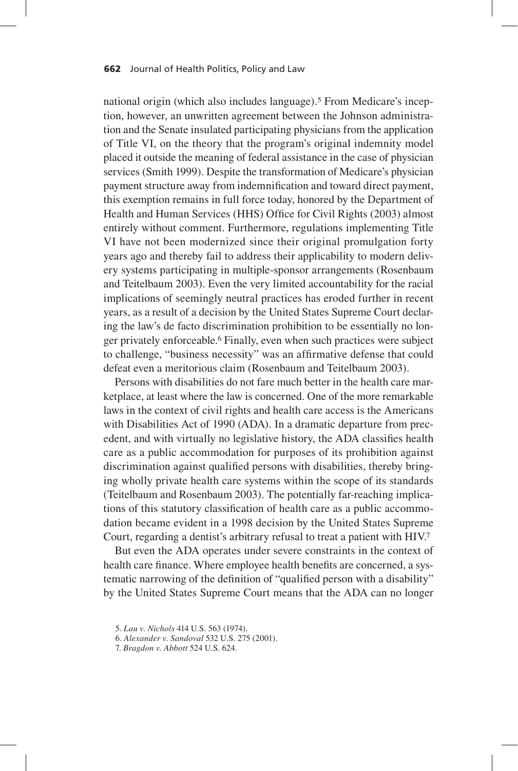national origin (which also includes language).5 From Medicare's inception, however, an unwritten agreement between the Johnson administration and the Senate insulated participating physicians from the application of Title VI, on the theory that the program's original indemnity model placed it outside the meaning of federal assistance in the case of physician services (Smith 1999). Despite the transformation of Medicare's physician payment structure away from indemnification and toward direct payment, this exemption remains in full force today, honored by the Department of Health and Human Services (HHS) Office for Civil Rights (2003) almost entirely without comment. Furthermore, regulations implementing Title VI have not been modernized since their original promulgation forty years ago and thereby fail to address their applicability to modern delivery systems participating in multiple-sponsor arrangements (Rosenbaum and Teitelbaum 2003). Even the very limited accountability for the racial implications of seemingly neutral practices has eroded further in recent years, as a result of a decision by the United States Supreme Court declaring the law's de facto discrimination prohibition to be essentially no longer privately enforceable.6 Finally, even when such practices were subject to challenge, "business necessity" was an affirmative defense that could defeat even a meritorious claim (Rosenbaum and Teitelbaum 2003).

Persons with disabilities do not fare much better in the health care marketplace, at least where the law is concerned. One of the more remarkable laws in the context of civil rights and health care access is the Americans with Disabilities Act of 1990 (ADA). In a dramatic departure from precedent, and with virtually no legislative history, the ADA classifies health care as a public accommodation for purposes of its prohibition against discrimination against qualified persons with disabilities, thereby bringing wholly private health care systems within the scope of its standards (Teitelbaum and Rosenbaum 2003). The potentially far-reaching implications of this statutory classification of health care as a public accommodation became evident in a 1998 decision by the United States Supreme Court, regarding a dentist's arbitrary refusal to treat a patient with HIV.7

But even the ADA operates under severe constraints in the context of health care finance. Where employee health benefits are concerned, a systematic narrowing of the definition of "qualified person with a disability" by the United States Supreme Court means that the ADA can no longer

<sup>5.</sup> *Lau v. Nichols* 414 U.S. 563 (1974).

<sup>6.</sup> *Alexander v. Sandoval* 532 U.S. 275 (2001).

<sup>7.</sup> *Bragdon v. Abbott* 524 U.S. 624.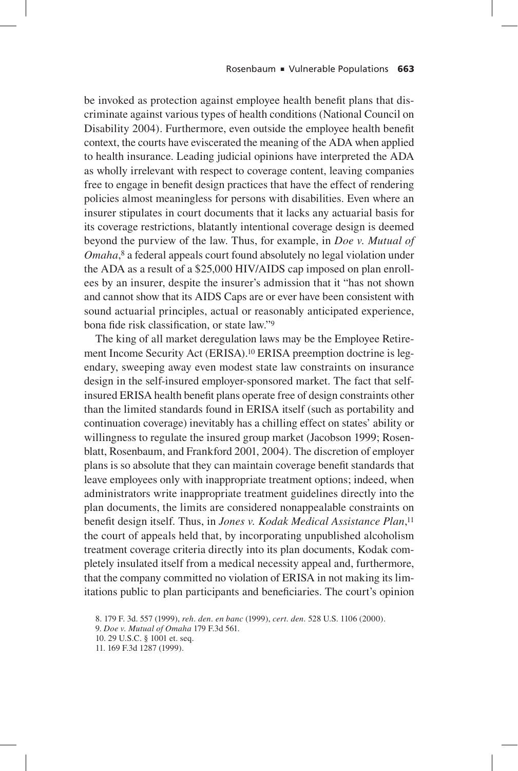be invoked as protection against employee health benefit plans that discriminate against various types of health conditions (National Council on Disability 2004). Furthermore, even outside the employee health benefit context, the courts have eviscerated the meaning of the ADA when applied to health insurance. Leading judicial opinions have interpreted the ADA as wholly irrelevant with respect to coverage content, leaving companies free to engage in benefit design practices that have the effect of rendering policies almost meaningless for persons with disabilities. Even where an insurer stipulates in court documents that it lacks any actuarial basis for its coverage restrictions, blatantly intentional coverage design is deemed beyond the purview of the law. Thus, for example, in *Doe v. Mutual of Omaha*,8 a federal appeals court found absolutely no legal violation under the ADA as a result of a \$25,000 HIV/AIDS cap imposed on plan enrollees by an insurer, despite the insurer's admission that it "has not shown and cannot show that its AIDS Caps are or ever have been consistent with sound actuarial principles, actual or reasonably anticipated experience, bona fide risk classification, or state law."9

The king of all market deregulation laws may be the Employee Retirement Income Security Act (ERISA).10 ERISA preemption doctrine is legendary, sweeping away even modest state law constraints on insurance design in the self-insured employer-sponsored market. The fact that selfinsured ERISA health benefit plans operate free of design constraints other than the limited standards found in ERISA itself (such as portability and continuation coverage) inevitably has a chilling effect on states' ability or willingness to regulate the insured group market (Jacobson 1999; Rosenblatt, Rosenbaum, and Frankford 2001, 2004). The discretion of employer plans is so absolute that they can maintain coverage benefit standards that leave employees only with inappropriate treatment options; indeed, when administrators write inappropriate treatment guidelines directly into the plan documents, the limits are considered nonappealable constraints on benefit design itself. Thus, in *Jones v. Kodak Medical Assistance Plan*, 11 the court of appeals held that, by incorporating unpublished alcoholism treatment coverage criteria directly into its plan documents, Kodak completely insulated itself from a medical necessity appeal and, furthermore, that the company committed no violation of ERISA in not making its limitations public to plan participants and beneficiaries. The court's opinion

<sup>8. 179</sup> F. 3d. 557 (1999), *reh. den. en banc* (1999), *cert. den.* 528 U.S. 1106 (2000).

<sup>9.</sup> *Doe v. Mutual of Omaha* 179 F.3d 561.

<sup>10. 29</sup> U.S.C. § 1001 et. seq.

<sup>11. 169</sup> F.3d 1287 (1999).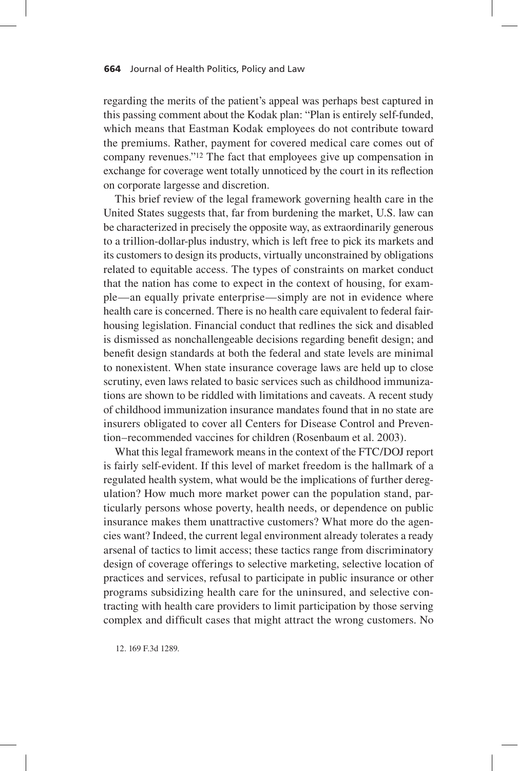regarding the merits of the patient's appeal was perhaps best captured in this passing comment about the Kodak plan: "Plan is entirely self-funded, which means that Eastman Kodak employees do not contribute toward the premiums. Rather, payment for covered medical care comes out of company revenues."12 The fact that employees give up compensation in exchange for coverage went totally unnoticed by the court in its reflection on corporate largesse and discretion.

This brief review of the legal framework governing health care in the United States suggests that, far from burdening the market, U.S. law can be characterized in precisely the opposite way, as extraordinarily generous to a trillion-dollar-plus industry, which is left free to pick its markets and its customers to design its products, virtually unconstrained by obligations related to equitable access. The types of constraints on market conduct that the nation has come to expect in the context of housing, for example—an equally private enterprise—simply are not in evidence where health care is concerned. There is no health care equivalent to federal fairhousing legislation. Financial conduct that redlines the sick and disabled is dismissed as nonchallengeable decisions regarding benefit design; and benefit design standards at both the federal and state levels are minimal to nonexistent. When state insurance coverage laws are held up to close scrutiny, even laws related to basic services such as childhood immunizations are shown to be riddled with limitations and caveats. A recent study of childhood immunization insurance mandates found that in no state are insurers obligated to cover all Centers for Disease Control and Prevention–recommended vaccines for children (Rosenbaum et al. 2003).

What this legal framework means in the context of the FTC/DOJ report is fairly self-evident. If this level of market freedom is the hallmark of a regulated health system, what would be the implications of further deregulation? How much more market power can the population stand, particularly persons whose poverty, health needs, or dependence on public insurance makes them unattractive customers? What more do the agencies want? Indeed, the current legal environment already tolerates a ready arsenal of tactics to limit access; these tactics range from discriminatory design of coverage offerings to selective marketing, selective location of practices and services, refusal to participate in public insurance or other programs subsidizing health care for the uninsured, and selective contracting with health care providers to limit participation by those serving complex and difficult cases that might attract the wrong customers. No

12. 169 F.3d 1289.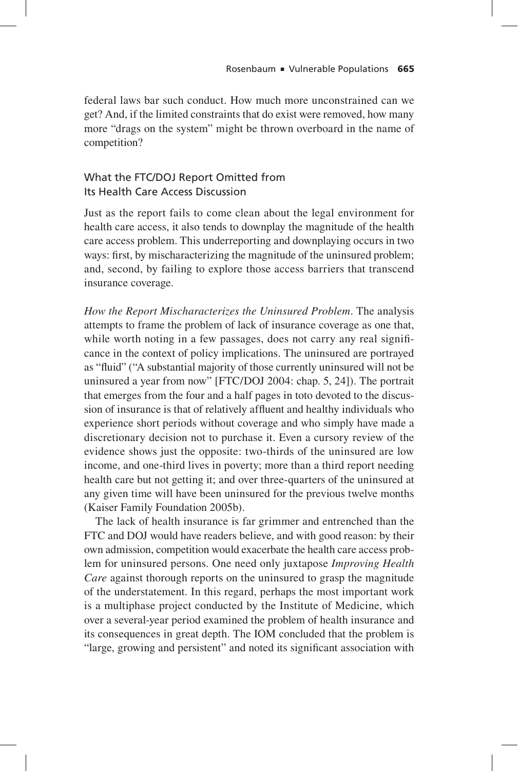federal laws bar such conduct. How much more unconstrained can we get? And, if the limited constraints that do exist were removed, how many more "drags on the system" might be thrown overboard in the name of competition?

## What the FTC/DOJ Report Omitted from Its Health Care Access Discussion

Just as the report fails to come clean about the legal environment for health care access, it also tends to downplay the magnitude of the health care access problem. This underreporting and downplaying occurs in two ways: first, by mischaracterizing the magnitude of the uninsured problem; and, second, by failing to explore those access barriers that transcend insurance coverage.

*How the Report Mischaracterizes the Uninsured Problem*. The analysis attempts to frame the problem of lack of insurance coverage as one that, while worth noting in a few passages, does not carry any real significance in the context of policy implications. The uninsured are portrayed as "fluid" ("A substantial majority of those currently uninsured will not be uninsured a year from now" [FTC/DOJ 2004: chap. 5, 24]). The portrait that emerges from the four and a half pages in toto devoted to the discussion of insurance is that of relatively affluent and healthy individuals who experience short periods without coverage and who simply have made a discretionary decision not to purchase it. Even a cursory review of the evidence shows just the opposite: two-thirds of the uninsured are low income, and one-third lives in poverty; more than a third report needing health care but not getting it; and over three-quarters of the uninsured at any given time will have been uninsured for the previous twelve months (Kaiser Family Foundation 2005b).

The lack of health insurance is far grimmer and entrenched than the FTC and DOJ would have readers believe, and with good reason: by their own admission, competition would exacerbate the health care access problem for uninsured persons. One need only juxtapose *Improving Health Care* against thorough reports on the uninsured to grasp the magnitude of the understatement. In this regard, perhaps the most important work is a multiphase project conducted by the Institute of Medicine, which over a several-year period examined the problem of health insurance and its consequences in great depth. The IOM concluded that the problem is "large, growing and persistent" and noted its significant association with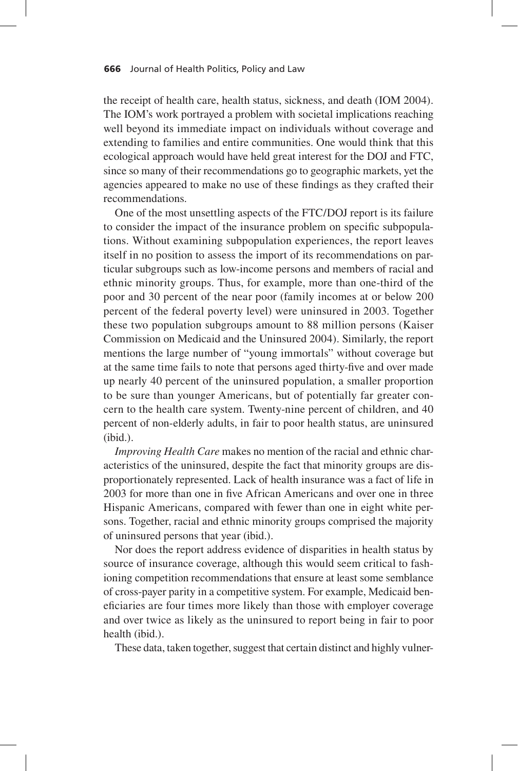the receipt of health care, health status, sickness, and death (IOM 2004). The IOM's work portrayed a problem with societal implications reaching well beyond its immediate impact on individuals without coverage and extending to families and entire communities. One would think that this ecological approach would have held great interest for the DOJ and FTC, since so many of their recommendations go to geographic markets, yet the agencies appeared to make no use of these findings as they crafted their recommendations.

One of the most unsettling aspects of the FTC/DOJ report is its failure to consider the impact of the insurance problem on specific subpopulations. Without examining subpopulation experiences, the report leaves itself in no position to assess the import of its recommendations on particular subgroups such as low-income persons and members of racial and ethnic minority groups. Thus, for example, more than one-third of the poor and 30 percent of the near poor (family incomes at or below 200 percent of the federal poverty level) were uninsured in 2003. Together these two population subgroups amount to 88 million persons (Kaiser Commission on Medicaid and the Uninsured 2004). Similarly, the report mentions the large number of "young immortals" without coverage but at the same time fails to note that persons aged thirty-five and over made up nearly 40 percent of the uninsured population, a smaller proportion to be sure than younger Americans, but of potentially far greater concern to the health care system. Twenty-nine percent of children, and 40 percent of non-elderly adults, in fair to poor health status, are uninsured (ibid.).

*Improving Health Care* makes no mention of the racial and ethnic characteristics of the uninsured, despite the fact that minority groups are disproportionately represented. Lack of health insurance was a fact of life in 2003 for more than one in five African Americans and over one in three Hispanic Americans, compared with fewer than one in eight white persons. Together, racial and ethnic minority groups comprised the majority of uninsured persons that year (ibid.).

Nor does the report address evidence of disparities in health status by source of insurance coverage, although this would seem critical to fashioning competition recommendations that ensure at least some semblance of cross-payer parity in a competitive system. For example, Medicaid beneficiaries are four times more likely than those with employer coverage and over twice as likely as the uninsured to report being in fair to poor health (ibid.).

These data, taken together, suggest that certain distinct and highly vulner-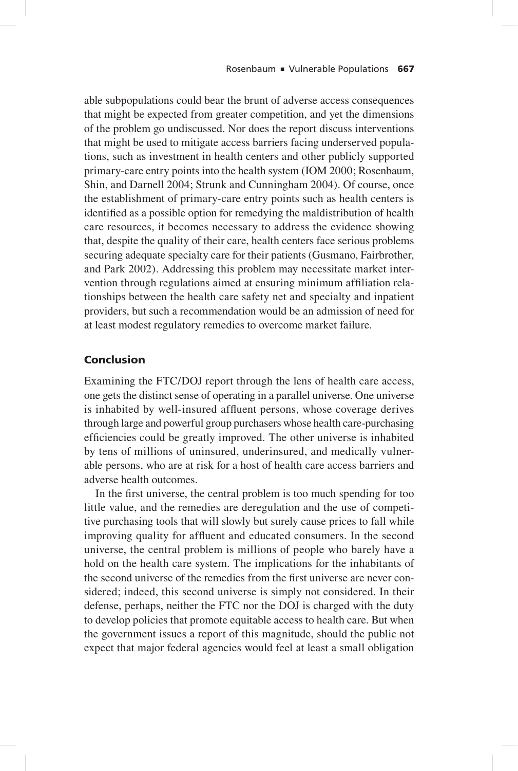able subpopulations could bear the brunt of adverse access consequences that might be expected from greater competition, and yet the dimensions of the problem go undiscussed. Nor does the report discuss interventions that might be used to mitigate access barriers facing underserved populations, such as investment in health centers and other publicly supported primary-care entry points into the health system (IOM 2000; Rosenbaum, Shin, and Darnell 2004; Strunk and Cunningham 2004). Of course, once the establishment of primary-care entry points such as health centers is identified as a possible option for remedying the maldistribution of health care resources, it becomes necessary to address the evidence showing that, despite the quality of their care, health centers face serious problems securing adequate specialty care for their patients (Gusmano, Fairbrother, and Park 2002). Addressing this problem may necessitate market intervention through regulations aimed at ensuring minimum affiliation relationships between the health care safety net and specialty and inpatient providers, but such a recommendation would be an admission of need for at least modest regulatory remedies to overcome market failure.

## Conclusion

Examining the FTC/DOJ report through the lens of health care access, one gets the distinct sense of operating in a parallel universe. One universe is inhabited by well-insured affluent persons, whose coverage derives through large and powerful group purchasers whose health care-purchasing efficiencies could be greatly improved. The other universe is inhabited by tens of millions of uninsured, underinsured, and medically vulnerable persons, who are at risk for a host of health care access barriers and adverse health outcomes.

In the first universe, the central problem is too much spending for too little value, and the remedies are deregulation and the use of competitive purchasing tools that will slowly but surely cause prices to fall while improving quality for affluent and educated consumers. In the second universe, the central problem is millions of people who barely have a hold on the health care system. The implications for the inhabitants of the second universe of the remedies from the first universe are never considered; indeed, this second universe is simply not considered. In their defense, perhaps, neither the FTC nor the DOJ is charged with the duty to develop policies that promote equitable access to health care. But when the government issues a report of this magnitude, should the public not expect that major federal agencies would feel at least a small obligation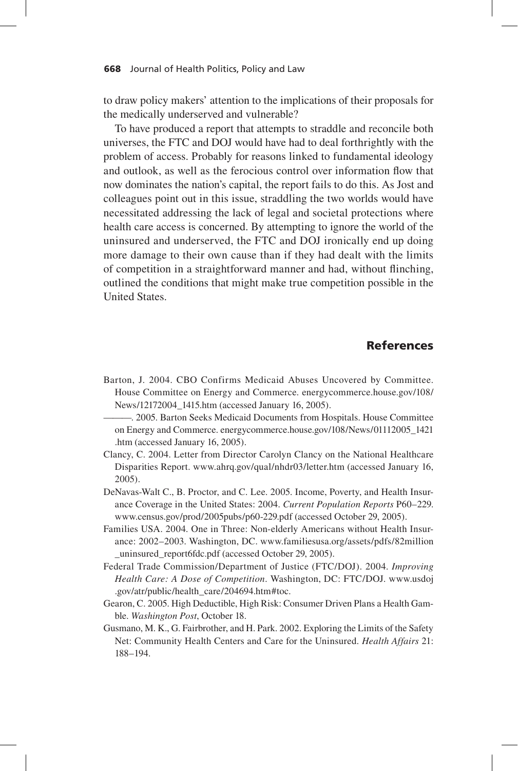to draw policy makers' attention to the implications of their proposals for the medically underserved and vulnerable?

To have produced a report that attempts to straddle and reconcile both universes, the FTC and DOJ would have had to deal forthrightly with the problem of access. Probably for reasons linked to fundamental ideology and outlook, as well as the ferocious control over information flow that now dominates the nation's capital, the report fails to do this. As Jost and colleagues point out in this issue, straddling the two worlds would have necessitated addressing the lack of legal and societal protections where health care access is concerned. By attempting to ignore the world of the uninsured and underserved, the FTC and DOJ ironically end up doing more damage to their own cause than if they had dealt with the limits of competition in a straightforward manner and had, without flinching, outlined the conditions that might make true competition possible in the United States.

# References

- Barton, J. 2004. CBO Confirms Medicaid Abuses Uncovered by Committee. House Committee on Energy and Commerce. energycommerce.house.gov/108/ News/12172004\_1415.htm (accessed January 16, 2005).
	- ———. 2005. Barton Seeks Medicaid Documents from Hospitals. House Committee on Energy and Commerce. energycommerce.house.gov/108/News/01112005\_1421 .htm (accessed January 16, 2005).
- Clancy, C. 2004. Letter from Director Carolyn Clancy on the National Healthcare Disparities Report. www.ahrq.gov/qual/nhdr03/letter.htm (accessed January 16, 2005).
- DeNavas-Walt C., B. Proctor, and C. Lee. 2005. Income, Poverty, and Health Insurance Coverage in the United States: 2004. *Current Population Reports* P60–229. www.census.gov/prod/2005pubs/p60-229.pdf (accessed October 29, 2005).
- Families USA. 2004. One in Three: Non-elderly Americans without Health Insurance: 2002–2003. Washington, DC. www.familiesusa.org/assets/pdfs/82million \_uninsured\_report6fdc.pdf (accessed October 29, 2005).
- Federal Trade Commission/Department of Justice (FTC/DOJ). 2004. *Improving Health Care: A Dose of Competition*. Washington, DC: FTC/DOJ. www.usdoj .gov/atr/public/health\_care/204694.htm#toc.
- Gearon, C. 2005. High Deductible, High Risk: Consumer Driven Plans a Health Gamble. *Washington Post*, October 18.
- Gusmano, M. K., G. Fairbrother, and H. Park. 2002. Exploring the Limits of the Safety Net: Community Health Centers and Care for the Uninsured. *Health Affairs* 21: 188–194.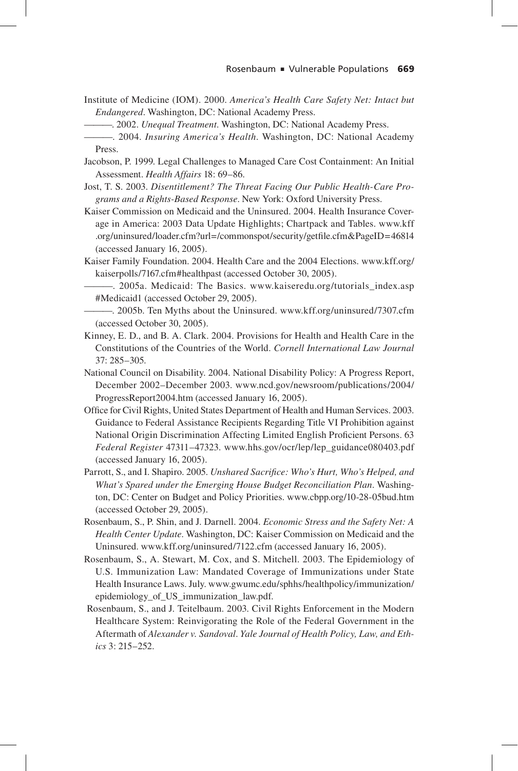- Institute of Medicine (IOM). 2000. *America's Health Care Safety Net: Intact but Endangered*. Washington, DC: National Academy Press.
	- ———. 2002. *Unequal Treatment*. Washington, DC: National Academy Press.
- ———. 2004. *Insuring America's Health*. Washington, DC: National Academy Press.
- Jacobson, P. 1999. Legal Challenges to Managed Care Cost Containment: An Initial Assessment. *Health Affairs* 18: 69–86.
- Jost, T. S. 2003. *Disentitlement? The Threat Facing Our Public Health-Care Programs and a Rights-Based Response*. New York: Oxford University Press.
- Kaiser Commission on Medicaid and the Uninsured. 2004. Health Insurance Coverage in America: 2003 Data Update Highlights; Chartpack and Tables. www.kff .org/uninsured/loader.cfm?url=/commonspot/security/getfile.cfm&PageID=46814 (accessed January 16, 2005).
- Kaiser Family Foundation. 2004. Health Care and the 2004 Elections. www.kff.org/ kaiserpolls/7167.cfm#healthpast (accessed October 30, 2005).
	- -. 2005a. Medicaid: The Basics. www.kaiseredu.org/tutorials\_index.asp #Medicaid1 (accessed October 29, 2005).
- ———. 2005b. Ten Myths about the Uninsured. www.kff.org/uninsured/7307.cfm (accessed October 30, 2005).
- Kinney, E. D., and B. A. Clark. 2004. Provisions for Health and Health Care in the Constitutions of the Countries of the World. *Cornell International Law Journal* 37: 285–305.
- National Council on Disability. 2004. National Disability Policy: A Progress Report, December 2002–December 2003. www.ncd.gov/newsroom/publications/2004/ ProgressReport2004.htm (accessed January 16, 2005).
- Office for Civil Rights, United States Department of Health and Human Services. 2003. Guidance to Federal Assistance Recipients Regarding Title VI Prohibition against National Origin Discrimination Affecting Limited English Proficient Persons. 63 *Federal Register* 47311–47323. www.hhs.gov/ocr/lep/lep\_guidance080403.pdf (accessed January 16, 2005).
- Parrott, S., and I. Shapiro. 2005. *Unshared Sacrifice: Who's Hurt, Who's Helped, and What's Spared under the Emerging House Budget Reconciliation Plan*. Washington, DC: Center on Budget and Policy Priorities. www.cbpp.org/10-28-05bud.htm (accessed October 29, 2005).
- Rosenbaum, S., P. Shin, and J. Darnell. 2004. *Economic Stress and the Safety Net: A Health Center Update*. Washington, DC: Kaiser Commission on Medicaid and the Uninsured. www.kff.org/uninsured/7122.cfm (accessed January 16, 2005).
- Rosenbaum, S., A. Stewart, M. Cox, and S. Mitchell. 2003. The Epidemiology of U.S. Immunization Law: Mandated Coverage of Immunizations under State Health Insurance Laws. July. www.gwumc.edu/sphhs/healthpolicy/immunization/ epidemiology\_of\_US\_immunization\_law.pdf.
- Rosenbaum, S., and J. Teitelbaum. 2003. Civil Rights Enforcement in the Modern Healthcare System: Reinvigorating the Role of the Federal Government in the Aftermath of *Alexander v. Sandoval*. *Yale Journal of Health Policy, Law, and Ethics* 3: 215–252.